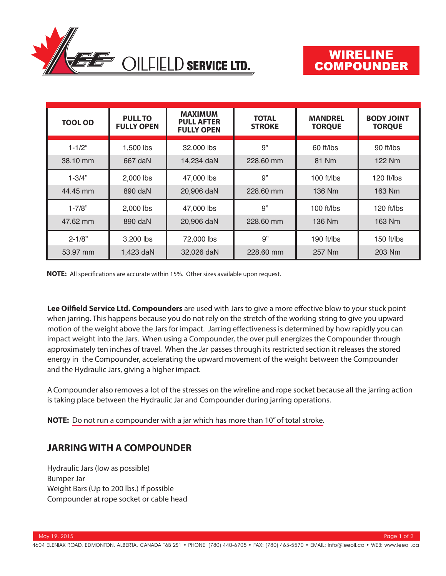

# WIRELINE COMPOUNDER

| <b>TOOL OD</b> | <b>PULL TO</b><br><b>FULLY OPEN</b> | <b>MAXIMUM</b><br><b>PULL AFTER</b><br><b>FULLY OPEN</b> | <b>TOTAL</b><br><b>STROKE</b> | <b>MANDREL</b><br><b>TORQUE</b> | <b>BODY JOINT</b><br><b>TORQUE</b> |
|----------------|-------------------------------------|----------------------------------------------------------|-------------------------------|---------------------------------|------------------------------------|
| $1 - 1/2"$     | 1,500 lbs                           | 32,000 lbs                                               | 9"                            | 60 ft/lbs                       | 90 ft/lbs                          |
| 38.10 mm       | 667 daN                             | 14,234 daN                                               | 228.60 mm                     | 81 Nm                           | 122 Nm                             |
| $1 - 3/4"$     | 2,000 lbs                           | 47,000 lbs                                               | 9"                            | $100$ ft/lbs                    | 120 ft/lbs                         |
| 44.45 mm       | 890 daN                             | 20,906 daN                                               | 228.60 mm                     | 136 Nm                          | 163 Nm                             |
| $1 - 7/8"$     | 2,000 lbs                           | 47,000 lbs                                               | 9"                            | 100 ft/ $lbs$                   | 120 ft/lbs                         |
| 47.62 mm       | 890 daN                             | 20,906 daN                                               | 228.60 mm                     | 136 Nm                          | 163 Nm                             |
| $2 - 1/8"$     | 3,200 lbs                           | 72,000 lbs                                               | 9"                            | 190 ft/lbs                      | 150 ft/lbs                         |
| 53.97 mm       | 1,423 daN                           | 32,026 daN                                               | 228.60 mm                     | 257 Nm                          | 203 Nm                             |

**NOTE:** All specifications are accurate within 15%. Other sizes available upon request.

Lee Oilfield Service Ltd. Compounders are used with Jars to give a more effective blow to your stuck point when jarring. This happens because you do not rely on the stretch of the working string to give you upward motion of the weight above the Jars for impact. Jarring effectiveness is determined by how rapidly you can impact weight into the Jars. When using a Compounder, the over pull energizes the Compounder through approximately ten inches of travel. When the Jar passes through its restricted section it releases the stored energy in the Compounder, accelerating the upward movement of the weight between the Compounder and the Hydraulic Jars, giving a higher impact.

A Compounder also removes a lot of the stresses on the wireline and rope socket because all the jarring action is taking place between the Hydraulic Jar and Compounder during jarring operations.

#### **NOTE:** Do not run a compounder with a jar which has more than 10" of total stroke.

## **JARRING WITH A COMPOUNDER**

Hydraulic Jars (low as possible) Bumper Jar Weight Bars (Up to 200 lbs.) if possible Compounder at rope socket or cable head